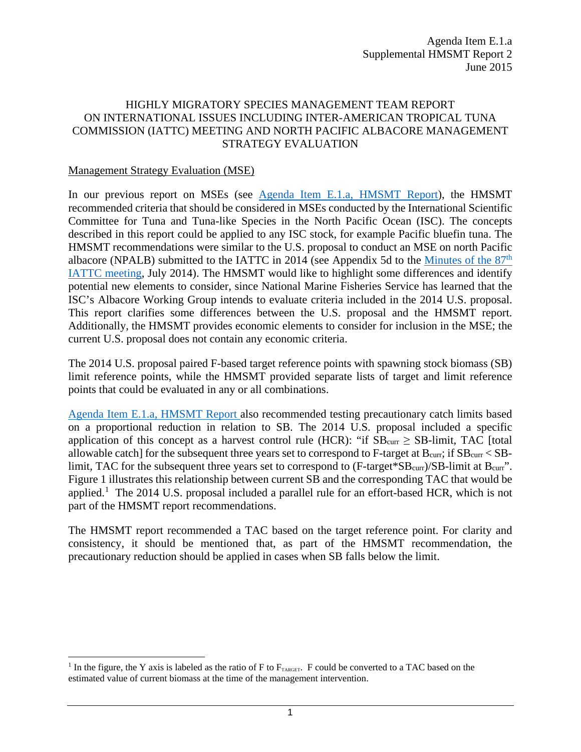### HIGHLY MIGRATORY SPECIES MANAGEMENT TEAM REPORT ON INTERNATIONAL ISSUES INCLUDING INTER-AMERICAN TROPICAL TUNA COMMISSION (IATTC) MEETING AND NORTH PACIFIC ALBACORE MANAGEMENT STRATEGY EVALUATION

#### Management Strategy Evaluation (MSE)

In our previous report on MSEs (see [Agenda Item E.1.a,](http://www.pcouncil.org/wp-content/uploads/2015/05/E1a_HMSMT_Rpt_NPALB_JUN2015BB.pdf) HMSMT Report), the HMSMT recommended criteria that should be considered in MSEs conducted by the International Scientific Committee for Tuna and Tuna-like Species in the North Pacific Ocean (ISC). The concepts described in this report could be applied to any ISC stock, for example Pacific bluefin tuna. The HMSMT recommendations were similar to the U.S. proposal to conduct an MSE on north Pacific albacore (NPALB) submitted to the IATTC in 2014 (see Appendix 5d to the [Minutes of](http://www.iattc.org/Meetings/Meetings2014/July/PDFs/IATTC-87-1-Minutes.pdf) the  $87<sup>th</sup>$ [IATTC meeting,](http://www.iattc.org/Meetings/Meetings2014/July/PDFs/IATTC-87-1-Minutes.pdf) July 2014). The HMSMT would like to highlight some differences and identify potential new elements to consider, since National Marine Fisheries Service has learned that the ISC's Albacore Working Group intends to evaluate criteria included in the 2014 U.S. proposal. This report clarifies some differences between the U.S. proposal and the HMSMT report. Additionally, the HMSMT provides economic elements to consider for inclusion in the MSE; the current U.S. proposal does not contain any economic criteria.

The 2014 U.S. proposal paired F-based target reference points with spawning stock biomass (SB) limit reference points, while the HMSMT provided separate lists of target and limit reference points that could be evaluated in any or all combinations.

[Agenda Item E.1.a, HMSMT Report](http://www.pcouncil.org/wp-content/uploads/2015/05/E1a_HMSMT_Rpt_NPALB_JUN2015BB.pdf) also recommended testing precautionary catch limits based on a proportional reduction in relation to SB. The 2014 U.S. proposal included a specific application of this concept as a harvest control rule (HCR): "if  $SB_{\text{curr}} > SB$ -limit, TAC [total] allowable catch] for the subsequent three years set to correspond to F-target at  $B_{\text{curr}}$ ; if  $SB_{\text{curr}} < SB$ . limit, TAC for the subsequent three years set to correspond to  $(F\text{-}target*SB_{\text{curr}})/SB\text{-}limit$  at  $B_{\text{curr}}$ . Figure 1 illustrates this relationship between current SB and the corresponding TAC that would be applied.<sup>[1](#page-0-0)</sup> The 2014 U.S. proposal included a parallel rule for an effort-based HCR, which is not part of the HMSMT report recommendations.

The HMSMT report recommended a TAC based on the target reference point. For clarity and consistency, it should be mentioned that, as part of the HMSMT recommendation, the precautionary reduction should be applied in cases when SB falls below the limit.

<span id="page-0-0"></span><sup>&</sup>lt;sup>1</sup> In the figure, the Y axis is labeled as the ratio of F to  $F_{TARGE}$ . F could be converted to a TAC based on the estimated value of current biomass at the time of the management intervention.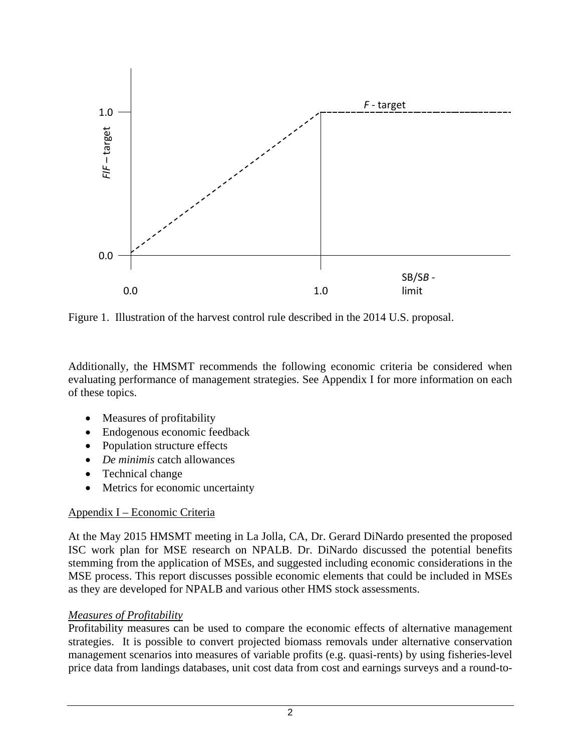

Figure 1. Illustration of the harvest control rule described in the 2014 U.S. proposal.

Additionally, the HMSMT recommends the following economic criteria be considered when evaluating performance of management strategies. See Appendix I for more information on each of these topics.

- Measures of profitability
- Endogenous economic feedback
- Population structure effects
- *De minimis* catch allowances
- Technical change
- Metrics for economic uncertainty

### Appendix I – Economic Criteria

At the May 2015 HMSMT meeting in La Jolla, CA, Dr. Gerard DiNardo presented the proposed ISC work plan for MSE research on NPALB. Dr. DiNardo discussed the potential benefits stemming from the application of MSEs, and suggested including economic considerations in the MSE process. This report discusses possible economic elements that could be included in MSEs as they are developed for NPALB and various other HMS stock assessments.

### *Measures of Profitability*

Profitability measures can be used to compare the economic effects of alternative management strategies. It is possible to convert projected biomass removals under alternative conservation management scenarios into measures of variable profits (e.g. quasi-rents) by using fisheries-level price data from landings databases, unit cost data from cost and earnings surveys and a round-to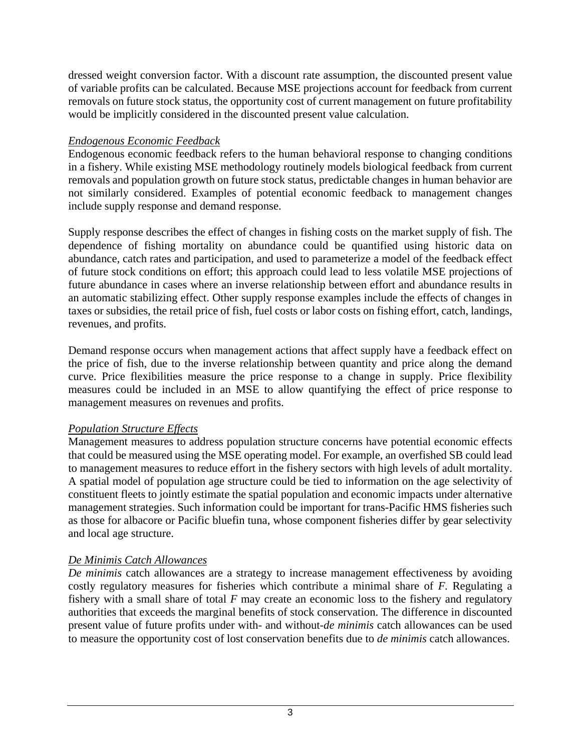dressed weight conversion factor. With a discount rate assumption, the discounted present value of variable profits can be calculated. Because MSE projections account for feedback from current removals on future stock status, the opportunity cost of current management on future profitability would be implicitly considered in the discounted present value calculation.

## *Endogenous Economic Feedback*

Endogenous economic feedback refers to the human behavioral response to changing conditions in a fishery. While existing MSE methodology routinely models biological feedback from current removals and population growth on future stock status, predictable changes in human behavior are not similarly considered. Examples of potential economic feedback to management changes include supply response and demand response.

Supply response describes the effect of changes in fishing costs on the market supply of fish. The dependence of fishing mortality on abundance could be quantified using historic data on abundance, catch rates and participation, and used to parameterize a model of the feedback effect of future stock conditions on effort; this approach could lead to less volatile MSE projections of future abundance in cases where an inverse relationship between effort and abundance results in an automatic stabilizing effect. Other supply response examples include the effects of changes in taxes or subsidies, the retail price of fish, fuel costs or labor costs on fishing effort, catch, landings, revenues, and profits.

Demand response occurs when management actions that affect supply have a feedback effect on the price of fish, due to the inverse relationship between quantity and price along the demand curve. Price flexibilities measure the price response to a change in supply. Price flexibility measures could be included in an MSE to allow quantifying the effect of price response to management measures on revenues and profits.

# *Population Structure Effects*

Management measures to address population structure concerns have potential economic effects that could be measured using the MSE operating model. For example, an overfished SB could lead to management measures to reduce effort in the fishery sectors with high levels of adult mortality. A spatial model of population age structure could be tied to information on the age selectivity of constituent fleets to jointly estimate the spatial population and economic impacts under alternative management strategies. Such information could be important for trans-Pacific HMS fisheries such as those for albacore or Pacific bluefin tuna, whose component fisheries differ by gear selectivity and local age structure.

# *De Minimis Catch Allowances*

*De minimis* catch allowances are a strategy to increase management effectiveness by avoiding costly regulatory measures for fisheries which contribute a minimal share of *F.* Regulating a fishery with a small share of total *F* may create an economic loss to the fishery and regulatory authorities that exceeds the marginal benefits of stock conservation. The difference in discounted present value of future profits under with- and without-*de minimis* catch allowances can be used to measure the opportunity cost of lost conservation benefits due to *de minimis* catch allowances.